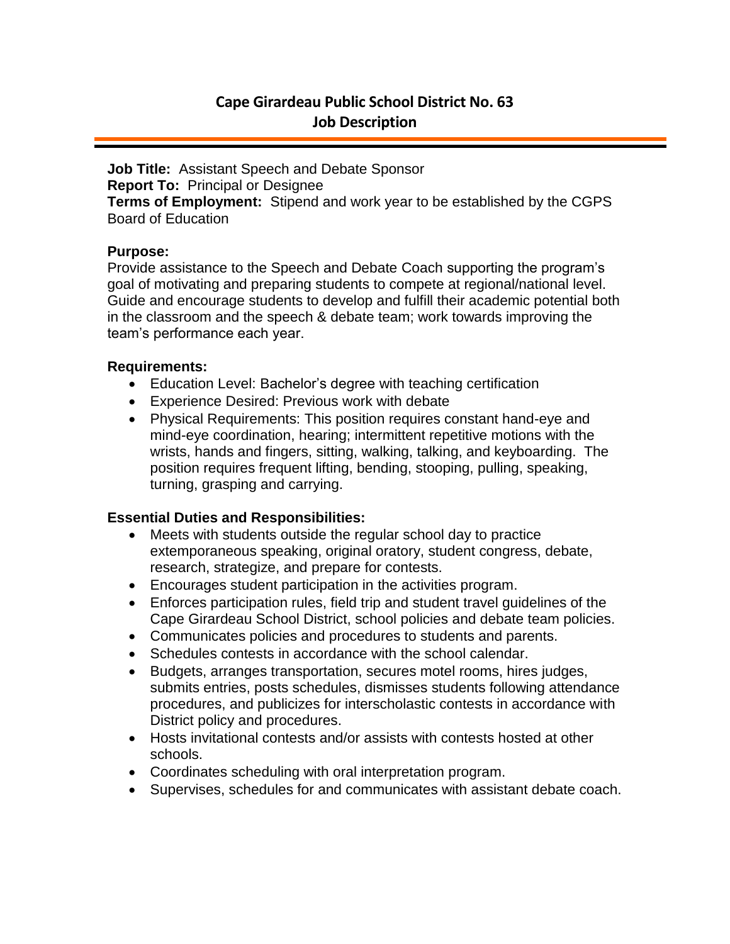# **Cape Girardeau Public School District No. 63 Job Description**

**Job Title:** Assistant Speech and Debate Sponsor **Report To:** Principal or Designee **Terms of Employment:** Stipend and work year to be established by the CGPS Board of Education

## **Purpose:**

Provide assistance to the Speech and Debate Coach supporting the program's goal of motivating and preparing students to compete at regional/national level. Guide and encourage students to develop and fulfill their academic potential both in the classroom and the speech & debate team; work towards improving the team's performance each year.

### **Requirements:**

- Education Level: Bachelor's degree with teaching certification
- Experience Desired: Previous work with debate
- Physical Requirements: This position requires constant hand-eye and mind-eye coordination, hearing; intermittent repetitive motions with the wrists, hands and fingers, sitting, walking, talking, and keyboarding. The position requires frequent lifting, bending, stooping, pulling, speaking, turning, grasping and carrying.

## **Essential Duties and Responsibilities:**

- Meets with students outside the regular school day to practice extemporaneous speaking, original oratory, student congress, debate, research, strategize, and prepare for contests.
- Encourages student participation in the activities program.
- Enforces participation rules, field trip and student travel guidelines of the Cape Girardeau School District, school policies and debate team policies.
- Communicates policies and procedures to students and parents.
- Schedules contests in accordance with the school calendar.
- Budgets, arranges transportation, secures motel rooms, hires judges, submits entries, posts schedules, dismisses students following attendance procedures, and publicizes for interscholastic contests in accordance with District policy and procedures.
- Hosts invitational contests and/or assists with contests hosted at other schools.
- Coordinates scheduling with oral interpretation program.
- Supervises, schedules for and communicates with assistant debate coach.